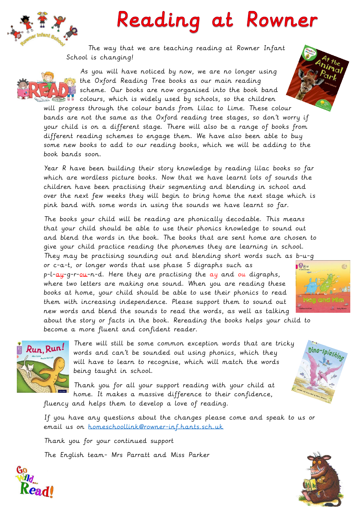

## Reading at Rowner

The way that we are teaching reading at Rowner Infant School is changing!



As you will have noticed by now, we are no longer using the Oxford Reading Tree books as our main reading scheme. Our books are now organised into the book band colours, which is widely used by schools, so the children

will progress through the colour bands from Lilac to Lime. These colour bands are not the same as the Oxford reading tree stages, so don't worry if your child is on a different stage. There will also be a range of books from different reading schemes to engage them. We have also been able to buy some new books to add to our reading books, which we will be adding to the book bands soon.

Year R have been building their story knowledge by reading lilac books so far which are wordless picture books. Now that we have learnt lots of sounds the children have been practising their segmenting and blending in school and over the next few weeks they will begin to bring home the next stage which is pink band with some words in using the sounds we have learnt so far.

The books your child will be reading are phonically decodable. This means that your child should be able to use their phonics knowledge to sound out and blend the words in the book. The books that are sent home are chosen to give your child practice reading the phonemes they are learning in school.

They may be practising sounding out and blending short words such as b-u-g or c-a-t, or longer words that use phase 5 digraphs such as  $p-l-aq-q-r-\rho u$ -n-d. Here they are practising the  $a\bar{y}$  and  $o\bar{u}$  digraphs, where two letters are making one sound. When you are reading these books at home, your child should be able to use their phonics to read them with increasing independence. Please support them to sound out new words and blend the sounds to read the words, as well as talking about the story or facts in the book. Rereading the books helps your child to



Run, Run!

There will still be some common exception words that are tricky words and can't be sounded out using phonics, which they will have to learn to recognise, which will match the words being taught in school.

Thank you for all your support reading with your child at home. It makes a massive difference to their confidence, fluency and helps them to develop a love of reading.

If you have any questions about the changes please come and speak to us or email us on [homeschoollink@rowner-inf.hants.sch.uk](mailto:homeschoollink@rowner-inf.hants.sch.uk)

Thank you for your continued support The English team- Mrs Parratt and Miss Parker

become a more fluent and confident reader.